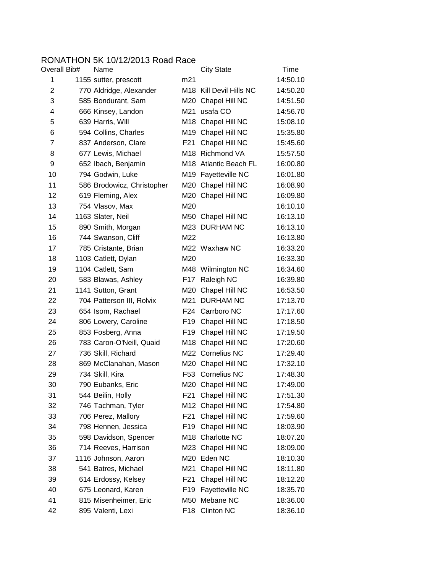## RONATHON 5K 10/12/2013 Road Race<br>Overall Bib# Name

| Overall Bib#   | Name                       |                 | <b>City State</b>                   | Time     |
|----------------|----------------------------|-----------------|-------------------------------------|----------|
| 1              | 1155 sutter, prescott      | m21             |                                     | 14:50.10 |
| $\overline{2}$ | 770 Aldridge, Alexander    |                 | M <sub>18</sub> Kill Devil Hills NC | 14:50.20 |
| 3              | 585 Bondurant, Sam         | M20             | Chapel Hill NC                      | 14:51.50 |
| 4              | 666 Kinsey, Landon         | M21             | usafa CO                            | 14:56.70 |
| 5              | 639 Harris, Will           |                 | M18 Chapel Hill NC                  | 15:08.10 |
| 6              | 594 Collins, Charles       |                 | M19 Chapel Hill NC                  | 15:35.80 |
| $\overline{7}$ | 837 Anderson, Clare        | F21             | Chapel Hill NC                      | 15:45.60 |
| 8              | 677 Lewis, Michael         |                 | M18 Richmond VA                     | 15:57.50 |
| 9              | 652 Ibach, Benjamin        |                 | M18 Atlantic Beach FL               | 16:00.80 |
| 10             | 794 Godwin, Luke           |                 | M19 Fayetteville NC                 | 16:01.80 |
| 11             | 586 Brodowicz, Christopher |                 | M20 Chapel Hill NC                  | 16:08.90 |
| 12             | 619 Fleming, Alex          |                 | M20 Chapel Hill NC                  | 16:09.80 |
| 13             | 754 Vlasov, Max            | M20             |                                     | 16:10.10 |
| 14             | 1163 Slater, Neil          |                 | M50 Chapel Hill NC                  | 16:13.10 |
| 15             | 890 Smith, Morgan          |                 | M23 DURHAM NC                       | 16:13.10 |
| 16             | 744 Swanson, Cliff         | M22             |                                     | 16:13.80 |
| 17             | 785 Cristante, Brian       |                 | M22 Waxhaw NC                       | 16:33.20 |
| 18             | 1103 Catlett, Dylan        | M20             |                                     | 16:33.30 |
| 19             | 1104 Catlett, Sam          |                 | M48 Wilmington NC                   | 16:34.60 |
| 20             | 583 Blawas, Ashley         | F17             | Raleigh NC                          | 16:39.80 |
| 21             | 1141 Sutton, Grant         |                 | M20 Chapel Hill NC                  | 16:53.50 |
| 22             | 704 Patterson III, Rolvix  | M21             | <b>DURHAM NC</b>                    | 17:13.70 |
| 23             | 654 Isom, Rachael          |                 | F24 Carrboro NC                     | 17:17.60 |
| 24             | 806 Lowery, Caroline       |                 | F19 Chapel Hill NC                  | 17:18.50 |
| 25             | 853 Fosberg, Anna          | F19             | Chapel Hill NC                      | 17:19.50 |
| 26             | 783 Caron-O'Neill, Quaid   |                 | M18 Chapel Hill NC                  | 17:20.60 |
| 27             | 736 Skill, Richard         |                 | M22 Cornelius NC                    | 17:29.40 |
| 28             | 869 McClanahan, Mason      |                 | M20 Chapel Hill NC                  | 17:32.10 |
| 29             | 734 Skill, Kira            |                 | F53 Cornelius NC                    | 17:48.30 |
| 30             | 790 Eubanks, Eric          |                 | M20 Chapel Hill NC                  | 17:49.00 |
| 31             | 544 Beilin, Holly          | F21             | Chapel Hill NC                      | 17:51.30 |
| 32             | 746 Tachman, Tyler         | M12             | Chapel Hill NC                      | 17:54.80 |
| 33             | 706 Perez, Mallory         | F21             | Chapel Hill NC                      | 17:59.60 |
| 34             | 798 Hennen, Jessica        | F19             | Chapel Hill NC                      | 18:03.90 |
| 35             | 598 Davidson, Spencer      |                 | M18 Charlotte NC                    | 18:07.20 |
| 36             | 714 Reeves, Harrison       |                 | M23 Chapel Hill NC                  | 18:09.00 |
| 37             | 1116 Johnson, Aaron        | M20             | Eden NC                             | 18:10.30 |
| 38             | 541 Batres, Michael        | M21             | Chapel Hill NC                      | 18:11.80 |
| 39             | 614 Erdossy, Kelsey        | F21             | Chapel Hill NC                      | 18:12.20 |
| 40             | 675 Leonard, Karen         | F19             | Fayetteville NC                     | 18:35.70 |
| 41             | 815 Misenheimer, Eric      | M50             | Mebane NC                           | 18:36.00 |
| 42             | 895 Valenti, Lexi          | F <sub>18</sub> | <b>Clinton NC</b>                   | 18:36.10 |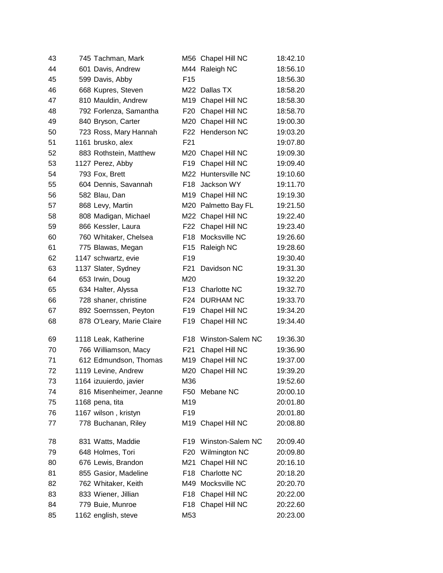| 43 | 745 Tachman, Mark         |                 | M56 Chapel Hill NC   | 18:42.10 |
|----|---------------------------|-----------------|----------------------|----------|
| 44 | 601 Davis, Andrew         |                 | M44 Raleigh NC       | 18:56.10 |
| 45 | 599 Davis, Abby           | F <sub>15</sub> |                      | 18:56.30 |
| 46 | 668 Kupres, Steven        |                 | M22 Dallas TX        | 18:58.20 |
| 47 | 810 Mauldin, Andrew       |                 | M19 Chapel Hill NC   | 18:58.30 |
| 48 | 792 Forlenza, Samantha    | F20             | Chapel Hill NC       | 18:58.70 |
| 49 | 840 Bryson, Carter        |                 | M20 Chapel Hill NC   | 19:00.30 |
| 50 | 723 Ross, Mary Hannah     |                 | F22 Henderson NC     | 19:03.20 |
| 51 | 1161 brusko, alex         | F <sub>21</sub> |                      | 19:07.80 |
| 52 | 883 Rothstein, Matthew    |                 | M20 Chapel Hill NC   | 19:09.30 |
| 53 | 1127 Perez, Abby          | F <sub>19</sub> | Chapel Hill NC       | 19:09.40 |
| 54 | 793 Fox, Brett            |                 | M22 Huntersville NC  | 19:10.60 |
| 55 | 604 Dennis, Savannah      |                 | F18 Jackson WY       | 19:11.70 |
| 56 | 582 Blau, Dan             |                 | M19 Chapel Hill NC   | 19:19.30 |
| 57 | 868 Levy, Martin          |                 | M20 Palmetto Bay FL  | 19:21.50 |
| 58 | 808 Madigan, Michael      |                 | M22 Chapel Hill NC   | 19:22.40 |
| 59 | 866 Kessler, Laura        |                 | F22 Chapel Hill NC   | 19:23.40 |
| 60 | 760 Whitaker, Chelsea     | F18             | Mocksville NC        | 19:26.60 |
| 61 | 775 Blawas, Megan         | F <sub>15</sub> | Raleigh NC           | 19:28.60 |
| 62 | 1147 schwartz, evie       | F <sub>19</sub> |                      | 19:30.40 |
| 63 | 1137 Slater, Sydney       | F21             | Davidson NC          | 19:31.30 |
| 64 | 653 Irwin, Doug           | M20             |                      | 19:32.20 |
| 65 | 634 Halter, Alyssa        | F13             | Charlotte NC         | 19:32.70 |
| 66 | 728 shaner, christine     |                 | F24 DURHAM NC        | 19:33.70 |
| 67 | 892 Soernssen, Peyton     | F19             | Chapel Hill NC       | 19:34.20 |
| 68 | 878 O'Leary, Marie Claire | F19             | Chapel Hill NC       | 19:34.40 |
| 69 | 1118 Leak, Katherine      | F18             | Winston-Salem NC     | 19:36.30 |
| 70 | 766 Williamson, Macy      | F21             | Chapel Hill NC       | 19:36.90 |
| 71 | 612 Edmundson, Thomas     |                 | M19 Chapel Hill NC   | 19:37.00 |
| 72 | 1119 Levine, Andrew       |                 | M20 Chapel Hill NC   | 19:39.20 |
| 73 | 1164 izuuierdo, javier    | M36             |                      | 19:52.60 |
| 74 | 816 Misenheimer, Jeanne   | F50             | Mebane NC            | 20:00.10 |
| 75 | 1168 pena, tita           | M19             |                      | 20:01.80 |
| 76 | 1167 wilson, kristyn      | F <sub>19</sub> |                      | 20:01.80 |
| 77 | 778 Buchanan, Riley       |                 | M19 Chapel Hill NC   | 20:08.80 |
| 78 | 831 Watts, Maddie         | F <sub>19</sub> | Winston-Salem NC     | 20:09.40 |
| 79 | 648 Holmes, Tori          | F20             | <b>Wilmington NC</b> | 20:09.80 |
| 80 | 676 Lewis, Brandon        | M21             | Chapel Hill NC       | 20:16.10 |
| 81 | 855 Gasior, Madeline      |                 | F18 Charlotte NC     | 20:18.20 |
| 82 | 762 Whitaker, Keith       |                 | M49 Mocksville NC    | 20:20.70 |
| 83 | 833 Wiener, Jillian       | F <sub>18</sub> | Chapel Hill NC       | 20:22.00 |
| 84 | 779 Buie, Munroe          | F18             | Chapel Hill NC       | 20:22.60 |
| 85 | 1162 english, steve       | M53             |                      | 20:23.00 |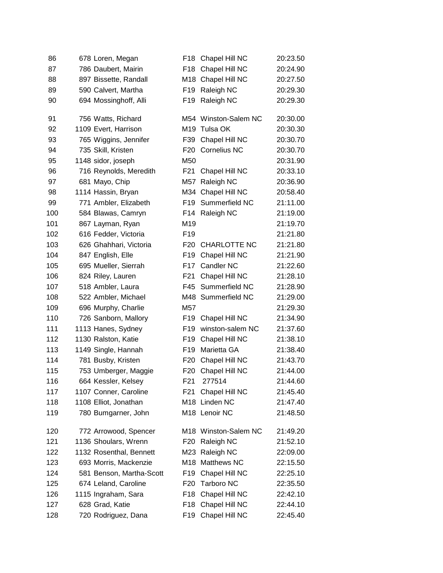| 86  | 678 Loren, Megan         | F18             | Chapel Hill NC       | 20:23.50 |
|-----|--------------------------|-----------------|----------------------|----------|
| 87  | 786 Daubert, Mairin      | F <sub>18</sub> | Chapel Hill NC       | 20:24.90 |
| 88  | 897 Bissette, Randall    | M18             | Chapel Hill NC       | 20:27.50 |
| 89  | 590 Calvert, Martha      | F <sub>19</sub> | Raleigh NC           | 20:29.30 |
| 90  | 694 Mossinghoff, Alli    | F <sub>19</sub> | Raleigh NC           | 20:29.30 |
| 91  | 756 Watts, Richard       |                 | M54 Winston-Salem NC | 20:30.00 |
| 92  | 1109 Evert, Harrison     | M19             | Tulsa OK             | 20:30.30 |
| 93  | 765 Wiggins, Jennifer    | F39             | Chapel Hill NC       | 20:30.70 |
| 94  | 735 Skill, Kristen       | F <sub>20</sub> | <b>Cornelius NC</b>  | 20:30.70 |
| 95  | 1148 sidor, joseph       | M50             |                      | 20:31.90 |
| 96  | 716 Reynolds, Meredith   | F21             | Chapel Hill NC       | 20:33.10 |
| 97  | 681 Mayo, Chip           | M57             | Raleigh NC           | 20:36.90 |
| 98  | 1114 Hassin, Bryan       | M34             | Chapel Hill NC       | 20:58.40 |
| 99  | 771 Ambler, Elizabeth    | F <sub>19</sub> | Summerfield NC       | 21:11.00 |
| 100 | 584 Blawas, Camryn       | F14             | Raleigh NC           | 21:19.00 |
| 101 | 867 Layman, Ryan         | M <sub>19</sub> |                      | 21:19.70 |
| 102 | 616 Fedder, Victoria     | F <sub>19</sub> |                      | 21:21.80 |
| 103 | 626 Ghahhari, Victoria   | F20             | <b>CHARLOTTE NC</b>  | 21:21.80 |
| 104 | 847 English, Elle        | F <sub>19</sub> | Chapel Hill NC       | 21:21.90 |
| 105 | 695 Mueller, Sierrah     | F17             | Candler NC           | 21:22.60 |
| 106 | 824 Riley, Lauren        | F <sub>21</sub> | Chapel Hill NC       | 21:28.10 |
| 107 | 518 Ambler, Laura        |                 | F45 Summerfield NC   | 21:28.90 |
| 108 | 522 Ambler, Michael      | M48             | Summerfield NC       | 21:29.00 |
| 109 | 696 Murphy, Charlie      | M57             |                      | 21:29.30 |
| 110 | 726 Sanborn, Mallory     | F <sub>19</sub> | Chapel Hill NC       | 21:34.90 |
| 111 | 1113 Hanes, Sydney       | F <sub>19</sub> | winston-salem NC     | 21:37.60 |
| 112 | 1130 Ralston, Katie      | F <sub>19</sub> | Chapel Hill NC       | 21:38.10 |
| 113 | 1149 Single, Hannah      | F <sub>19</sub> | Marietta GA          | 21:38.40 |
| 114 | 781 Busby, Kristen       | F <sub>20</sub> | Chapel Hill NC       | 21:43.70 |
| 115 | 753 Umberger, Maggie     | F <sub>20</sub> | Chapel Hill NC       | 21:44.00 |
| 116 | 664 Kessler, Kelsey      | F21             | 277514               | 21:44.60 |
| 117 | 1107 Conner, Caroline    | F <sub>21</sub> | Chapel Hill NC       | 21:45.40 |
| 118 | 1108 Elliot, Jonathan    | M18             | Linden NC            | 21:47.40 |
| 119 | 780 Bumgarner, John      |                 | M18 Lenoir NC        | 21:48.50 |
| 120 | 772 Arrowood, Spencer    |                 | M18 Winston-Salem NC | 21:49.20 |
| 121 | 1136 Shoulars, Wrenn     | F <sub>20</sub> | Raleigh NC           | 21:52.10 |
| 122 | 1132 Rosenthal, Bennett  |                 | M23 Raleigh NC       | 22:09.00 |
| 123 | 693 Morris, Mackenzie    | M18             | Matthews NC          | 22:15.50 |
| 124 | 581 Benson, Martha-Scott | F19             | Chapel Hill NC       | 22:25.10 |
| 125 | 674 Leland, Caroline     | F <sub>20</sub> | <b>Tarboro NC</b>    | 22:35.50 |
| 126 | 1115 Ingraham, Sara      | F18             | Chapel Hill NC       | 22:42.10 |
| 127 | 628 Grad, Katie          | F18             | Chapel Hill NC       | 22:44.10 |
| 128 | 720 Rodriguez, Dana      | F <sub>19</sub> | Chapel Hill NC       | 22:45.40 |
|     |                          |                 |                      |          |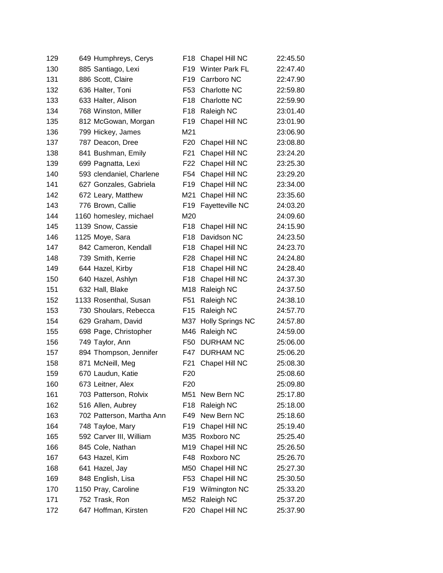| 129 | 649 Humphreys, Cerys      | F18             | Chapel Hill NC          | 22:45.50 |
|-----|---------------------------|-----------------|-------------------------|----------|
| 130 | 885 Santiago, Lexi        | F <sub>19</sub> | <b>Winter Park FL</b>   | 22:47.40 |
| 131 | 886 Scott, Claire         | F <sub>19</sub> | Carrboro NC             | 22:47.90 |
| 132 | 636 Halter, Toni          | F <sub>53</sub> | Charlotte NC            | 22:59.80 |
| 133 | 633 Halter, Alison        | F <sub>18</sub> | Charlotte NC            | 22:59.90 |
| 134 | 768 Winston, Miller       | F <sub>18</sub> | Raleigh NC              | 23:01.40 |
| 135 | 812 McGowan, Morgan       | F <sub>19</sub> | Chapel Hill NC          | 23:01.90 |
| 136 | 799 Hickey, James         | M21             |                         | 23:06.90 |
| 137 | 787 Deacon, Dree          | F <sub>20</sub> | Chapel Hill NC          | 23:08.80 |
| 138 | 841 Bushman, Emily        | F <sub>21</sub> | Chapel Hill NC          | 23:24.20 |
| 139 | 699 Pagnatta, Lexi        | F <sub>22</sub> | Chapel Hill NC          | 23:25.30 |
| 140 | 593 clendaniel, Charlene  | F <sub>54</sub> | Chapel Hill NC          | 23:29.20 |
| 141 | 627 Gonzales, Gabriela    | F19             | Chapel Hill NC          | 23:34.00 |
| 142 | 672 Leary, Matthew        | M21             | Chapel Hill NC          | 23:35.60 |
| 143 | 776 Brown, Callie         | F <sub>19</sub> | Fayetteville NC         | 24:03.20 |
| 144 | 1160 homesley, michael    | M20             |                         | 24:09.60 |
| 145 | 1139 Snow, Cassie         | F <sub>18</sub> | Chapel Hill NC          | 24:15.90 |
| 146 | 1125 Moye, Sara           | F <sub>18</sub> | Davidson NC             | 24:23.50 |
| 147 | 842 Cameron, Kendall      | F <sub>18</sub> | Chapel Hill NC          | 24:23.70 |
| 148 | 739 Smith, Kerrie         | F28             | Chapel Hill NC          | 24:24.80 |
| 149 | 644 Hazel, Kirby          | F <sub>18</sub> | Chapel Hill NC          | 24:28.40 |
| 150 | 640 Hazel, Ashlyn         | F <sub>18</sub> | Chapel Hill NC          | 24:37.30 |
| 151 | 632 Hall, Blake           | M18             | Raleigh NC              | 24:37.50 |
| 152 | 1133 Rosenthal, Susan     | F <sub>51</sub> | Raleigh NC              | 24:38.10 |
| 153 | 730 Shoulars, Rebecca     | F <sub>15</sub> | Raleigh NC              | 24:57.70 |
| 154 | 629 Graham, David         | M37             | <b>Holly Springs NC</b> | 24:57.80 |
| 155 | 698 Page, Christopher     | M46             | Raleigh NC              | 24:59.00 |
| 156 | 749 Taylor, Ann           | F <sub>50</sub> | <b>DURHAM NC</b>        | 25:06.00 |
| 157 | 894 Thompson, Jennifer    | F47             | <b>DURHAM NC</b>        | 25:06.20 |
| 158 | 871 McNeill, Meg          | F <sub>21</sub> | Chapel Hill NC          | 25:08.30 |
| 159 | 670 Laudun, Katie         | F <sub>20</sub> |                         | 25:08.60 |
| 160 | 673 Leitner, Alex         | F <sub>20</sub> |                         | 25:09.80 |
| 161 | 703 Patterson, Rolvix     | M51             | New Bern NC             | 25:17.80 |
| 162 | 516 Allen, Aubrey         | F <sub>18</sub> | Raleigh NC              | 25:18.00 |
| 163 | 702 Patterson, Martha Ann | F49             | New Bern NC             | 25:18.60 |
| 164 | 748 Tayloe, Mary          | F <sub>19</sub> | Chapel Hill NC          | 25:19.40 |
| 165 | 592 Carver III, William   | M35             | Roxboro NC              | 25:25.40 |
| 166 | 845 Cole, Nathan          | M19             | Chapel Hill NC          | 25:26.50 |
| 167 | 643 Hazel, Kim            | F48             | Roxboro NC              | 25:26.70 |
| 168 | 641 Hazel, Jay            | M50             | Chapel Hill NC          | 25:27.30 |
| 169 | 848 English, Lisa         | F <sub>53</sub> | Chapel Hill NC          | 25:30.50 |
| 170 | 1150 Pray, Caroline       | F19             | Wilmington NC           | 25:33.20 |
| 171 | 752 Trask, Ron            |                 | M52 Raleigh NC          | 25:37.20 |
| 172 | 647 Hoffman, Kirsten      | F20             | Chapel Hill NC          | 25:37.90 |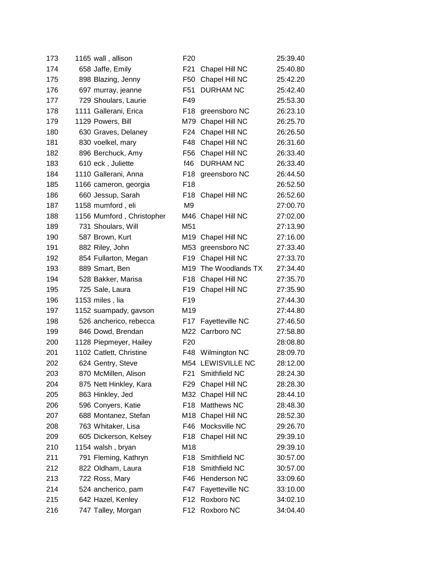| 173 | 1165 wall, allison        | F <sub>20</sub> |                   | 25:39.40 |
|-----|---------------------------|-----------------|-------------------|----------|
| 174 | 658 Jaffe, Emily          | F <sub>21</sub> | Chapel Hill NC    | 25:40.80 |
| 175 | 898 Blazing, Jenny        | F <sub>50</sub> | Chapel Hill NC    | 25:42.20 |
| 176 | 697 murray, jeanne        | F51             | <b>DURHAM NC</b>  | 25:42.40 |
| 177 | 729 Shoulars, Laurie      | F49             |                   | 25:53.30 |
| 178 | 1111 Gallerani, Erica     | F18             | greensboro NC     | 26:23.10 |
| 179 | 1129 Powers, Bill         | M79             | Chapel Hill NC    | 26:25.70 |
| 180 | 630 Graves, Delaney       | F24             | Chapel Hill NC    | 26:26.50 |
| 181 | 830 voelkel, mary         | F48             | Chapel Hill NC    | 26:31.60 |
| 182 | 896 Berchuck, Amy         | F56             | Chapel Hill NC    | 26:33.40 |
| 183 | 610 eck, Juliette         | f46             | <b>DURHAM NC</b>  | 26:33.40 |
| 184 | 1110 Gallerani, Anna      | F <sub>18</sub> | greensboro NC     | 26:44.50 |
| 185 | 1166 cameron, georgia     | F <sub>18</sub> |                   | 26:52.50 |
| 186 | 660 Jessup, Sarah         | F18             | Chapel Hill NC    | 26:52.60 |
| 187 | 1158 mumford, eli         | M <sub>9</sub>  |                   | 27:00.70 |
| 188 | 1156 Mumford, Christopher | M46             | Chapel Hill NC    | 27:02.00 |
| 189 | 731 Shoulars, Will        | M51             |                   | 27:13.90 |
| 190 | 587 Brown, Kurt           | M19             | Chapel Hill NC    | 27:16.00 |
| 191 | 882 Riley, John           | M53             | greensboro NC     | 27:33.40 |
| 192 | 854 Fullarton, Megan      | F <sub>19</sub> | Chapel Hill NC    | 27:33.70 |
| 193 | 889 Smart, Ben            | M19             | The Woodlands TX  | 27:34.40 |
| 194 | 528 Bakker, Marisa        | F <sub>18</sub> | Chapel Hill NC    | 27:35.70 |
| 195 | 725 Sale, Laura           | F <sub>19</sub> | Chapel Hill NC    | 27:35.90 |
| 196 | 1153 miles, lia           | F <sub>19</sub> |                   | 27:44.30 |
| 197 | 1152 suampady, gavson     | M19             |                   | 27:44.80 |
| 198 | 526 ancherico, rebecca    | F17             | Fayetteville NC   | 27:46.50 |
| 199 | 846 Dowd, Brendan         |                 | M22 Carrboro NC   | 27:58.80 |
| 200 | 1128 Piepmeyer, Hailey    | F <sub>20</sub> |                   | 28:08.80 |
| 201 | 1102 Catlett, Christine   |                 | F48 Wilmington NC | 28:09.70 |
| 202 | 624 Gentry, Steve         |                 | M54 LEWISVILLE NC | 28:12.00 |
| 203 | 870 McMillen, Alison      | F21             | Smithfield NC     | 28:24.30 |
| 204 | 875 Nett Hinkley, Kara    | F29             | Chapel Hill NC    | 28:28.30 |
| 205 | 863 Hinkley, Jed          | M32             | Chapel Hill NC    | 28:44.10 |
| 206 | 596 Conyers, Katie        | F <sub>18</sub> | Matthews NC       | 28:48.30 |
| 207 | 688 Montanez, Stefan      | M18             | Chapel Hill NC    | 28:52.30 |
| 208 | 763 Whitaker, Lisa        | F46             | Mocksville NC     | 29:26.70 |
| 209 | 605 Dickerson, Kelsey     | F18             | Chapel Hill NC    | 29:39.10 |
| 210 | 1154 walsh, bryan         | M18             |                   | 29:39.10 |
| 211 | 791 Fleming, Kathryn      | F <sub>18</sub> | Smithfield NC     | 30:57.00 |
| 212 | 822 Oldham, Laura         | F <sub>18</sub> | Smithfield NC     | 30:57.00 |
| 213 | 722 Ross, Mary            | F46             | Henderson NC      | 33:09.60 |
| 214 | 524 ancherico, pam        | F47             | Fayetteville NC   | 33:10.00 |
| 215 | 642 Hazel, Kenley         | F <sub>12</sub> | Roxboro NC        | 34:02.10 |
| 216 | 747 Talley, Morgan        | F12             | Roxboro NC        | 34:04.40 |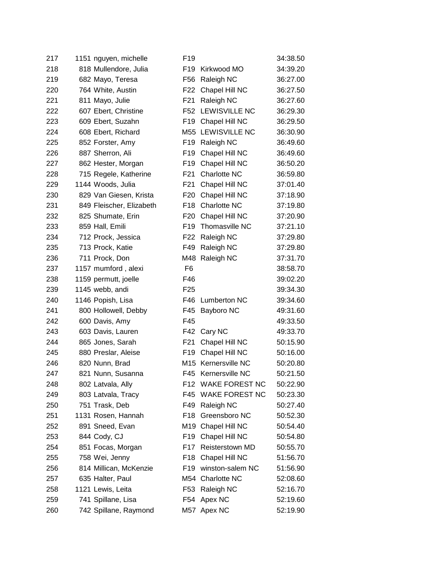| 217 | 1151 nguyen, michelle    | F <sub>19</sub> |                       | 34:38.50 |
|-----|--------------------------|-----------------|-----------------------|----------|
| 218 | 818 Mullendore, Julia    | F <sub>19</sub> | Kirkwood MO           | 34:39.20 |
| 219 | 682 Mayo, Teresa         | F56             | Raleigh NC            | 36:27.00 |
| 220 | 764 White, Austin        | F <sub>22</sub> | Chapel Hill NC        | 36:27.50 |
| 221 | 811 Mayo, Julie          | F <sub>21</sub> | Raleigh NC            | 36:27.60 |
| 222 | 607 Ebert, Christine     | F <sub>52</sub> | <b>LEWISVILLE NC</b>  | 36:29.30 |
| 223 | 609 Ebert, Suzahn        | F <sub>19</sub> | Chapel Hill NC        | 36:29.50 |
| 224 | 608 Ebert, Richard       | M55             | LEWISVILLE NC         | 36:30.90 |
| 225 | 852 Forster, Amy         | F <sub>19</sub> | Raleigh NC            | 36:49.60 |
| 226 | 887 Sherron, Ali         | F <sub>19</sub> | Chapel Hill NC        | 36:49.60 |
| 227 | 862 Hester, Morgan       | F <sub>19</sub> | Chapel Hill NC        | 36:50.20 |
| 228 | 715 Regele, Katherine    | F <sub>21</sub> | Charlotte NC          | 36:59.80 |
| 229 | 1144 Woods, Julia        | F <sub>21</sub> | Chapel Hill NC        | 37:01.40 |
| 230 | 829 Van Giesen, Krista   | F <sub>20</sub> | Chapel Hill NC        | 37:18.90 |
| 231 | 849 Fleischer, Elizabeth | F <sub>18</sub> | Charlotte NC          | 37:19.80 |
| 232 | 825 Shumate, Erin        | F <sub>20</sub> | Chapel Hill NC        | 37:20.90 |
| 233 | 859 Hall, Emili          | F <sub>19</sub> | Thomasville NC        | 37:21.10 |
| 234 | 712 Prock, Jessica       | F <sub>22</sub> | Raleigh NC            | 37:29.80 |
| 235 | 713 Prock, Katie         | F49             | Raleigh NC            | 37:29.80 |
| 236 | 711 Prock, Don           | M48             | Raleigh NC            | 37:31.70 |
| 237 | 1157 mumford, alexi      | F <sub>6</sub>  |                       | 38:58.70 |
| 238 | 1159 permutt, joelle     | F46             |                       | 39:02.20 |
| 239 | 1145 webb, andi          | F <sub>25</sub> |                       | 39:34.30 |
| 240 | 1146 Popish, Lisa        | F46             | <b>Lumberton NC</b>   | 39:34.60 |
| 241 | 800 Hollowell, Debby     | F45             | Bayboro NC            | 49:31.60 |
| 242 | 600 Davis, Amy           | F45             |                       | 49:33.50 |
| 243 | 603 Davis, Lauren        | F42             | Cary NC               | 49:33.70 |
| 244 | 865 Jones, Sarah         | F <sub>21</sub> | Chapel Hill NC        | 50:15.90 |
| 245 | 880 Preslar, Aleise      | F <sub>19</sub> | Chapel Hill NC        | 50:16.00 |
| 246 | 820 Nunn, Brad           | M <sub>15</sub> | Kernersville NC       | 50:20.80 |
| 247 | 821 Nunn, Susanna        | F45             | Kernersville NC       | 50:21.50 |
| 248 | 802 Latvala, Ally        | F12             | <b>WAKE FOREST NC</b> | 50:22.90 |
| 249 | 803 Latvala, Tracy       | F45             | <b>WAKE FOREST NC</b> | 50:23.30 |
| 250 | 751 Trask, Deb           | F49             | Raleigh NC            | 50:27.40 |
| 251 | 1131 Rosen, Hannah       | F18             | Greensboro NC         | 50:52.30 |
| 252 | 891 Sneed, Evan          | M19             | Chapel Hill NC        | 50:54.40 |
| 253 | 844 Cody, CJ             | F <sub>19</sub> | Chapel Hill NC        | 50:54.80 |
| 254 | 851 Focas, Morgan        | F <sub>17</sub> | Reisterstown MD       | 50:55.70 |
| 255 | 758 Wei, Jenny           | F <sub>18</sub> | Chapel Hill NC        | 51:56.70 |
| 256 | 814 Millican, McKenzie   | F <sub>19</sub> | winston-salem NC      | 51:56.90 |
| 257 | 635 Halter, Paul         | M54             | Charlotte NC          | 52:08.60 |
| 258 | 1121 Lewis, Leita        | F <sub>53</sub> | Raleigh NC            | 52:16.70 |
| 259 | 741 Spillane, Lisa       | F54             | Apex NC               | 52:19.60 |
| 260 | 742 Spillane, Raymond    | M57             | Apex NC               | 52:19.90 |
|     |                          |                 |                       |          |